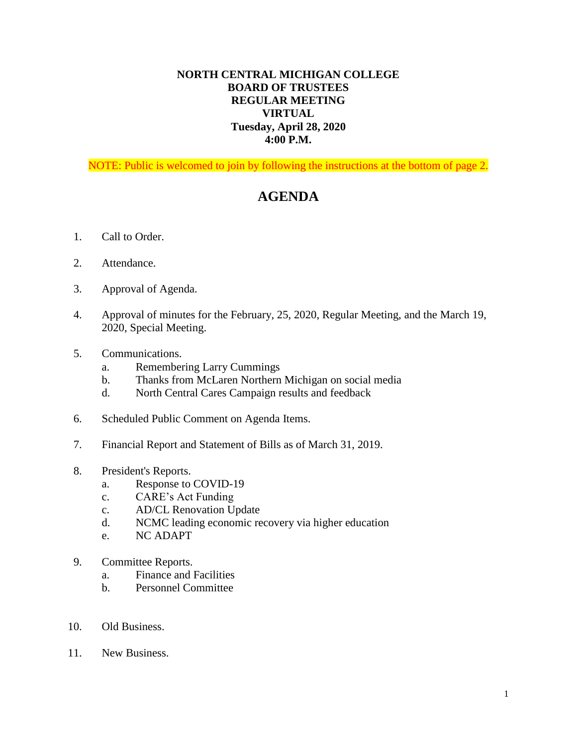# **NORTH CENTRAL MICHIGAN COLLEGE BOARD OF TRUSTEES REGULAR MEETING VIRTUAL Tuesday, April 28, 2020 4:00 P.M.**

NOTE: Public is welcomed to join by following the instructions at the bottom of page 2.

# **AGENDA**

- 1. Call to Order.
- 2. Attendance.
- 3. Approval of Agenda.
- 4. Approval of minutes for the February, 25, 2020, Regular Meeting, and the March 19, 2020, Special Meeting.
- 5. Communications.
	- a. Remembering Larry Cummings
	- b. Thanks from McLaren Northern Michigan on social media
	- d. North Central Cares Campaign results and feedback
- 6. Scheduled Public Comment on Agenda Items.
- 7. Financial Report and Statement of Bills as of March 31, 2019.
- 8. President's Reports.
	- a. Response to COVID-19
	- c. CARE's Act Funding
	- c. AD/CL Renovation Update
	- d. NCMC leading economic recovery via higher education
	- e. NC ADAPT
- 9. Committee Reports.
	- a. Finance and Facilities
	- b. Personnel Committee
- 10. Old Business.
- 11. New Business.